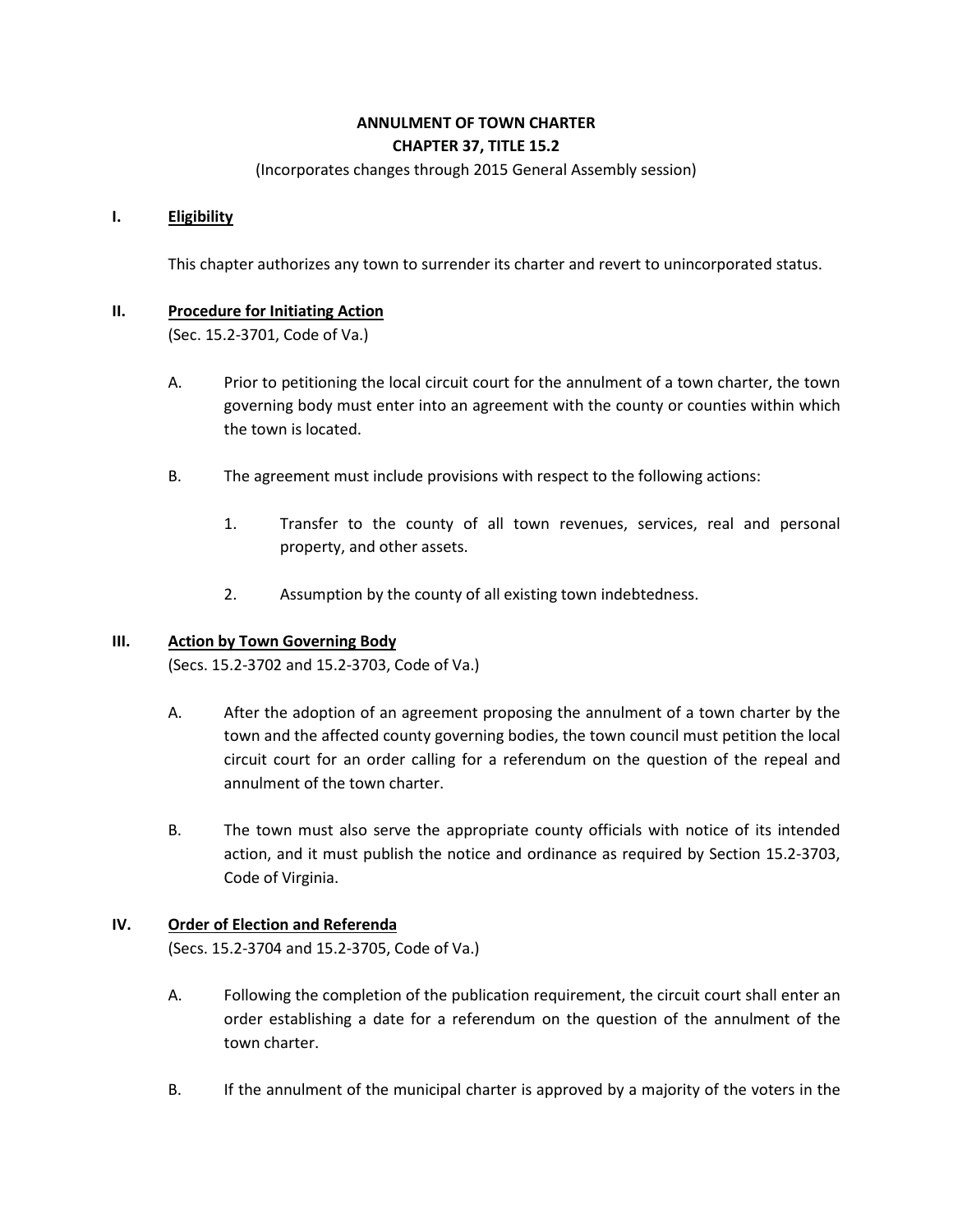# **ANNULMENT OF TOWN CHARTER CHAPTER 37, TITLE 15.2**

#### (Incorporates changes through 2015 General Assembly session)

## **I. Eligibility**

This chapter authorizes any town to surrender its charter and revert to unincorporated status.

# **II. Procedure for Initiating Action**

(Sec. 15.2-3701, Code of Va.)

- A. Prior to petitioning the local circuit court for the annulment of a town charter, the town governing body must enter into an agreement with the county or counties within which the town is located.
- B. The agreement must include provisions with respect to the following actions:
	- 1. Transfer to the county of all town revenues, services, real and personal property, and other assets.
	- 2. Assumption by the county of all existing town indebtedness.

#### **III. Action by Town Governing Body**

(Secs. 15.2-3702 and 15.2-3703, Code of Va.)

- A. After the adoption of an agreement proposing the annulment of a town charter by the town and the affected county governing bodies, the town council must petition the local circuit court for an order calling for a referendum on the question of the repeal and annulment of the town charter.
- B. The town must also serve the appropriate county officials with notice of its intended action, and it must publish the notice and ordinance as required by Section 15.2-3703, Code of Virginia.

#### **IV. Order of Election and Referenda**

(Secs. 15.2-3704 and 15.2-3705, Code of Va.)

- A. Following the completion of the publication requirement, the circuit court shall enter an order establishing a date for a referendum on the question of the annulment of the town charter.
- B. If the annulment of the municipal charter is approved by a majority of the voters in the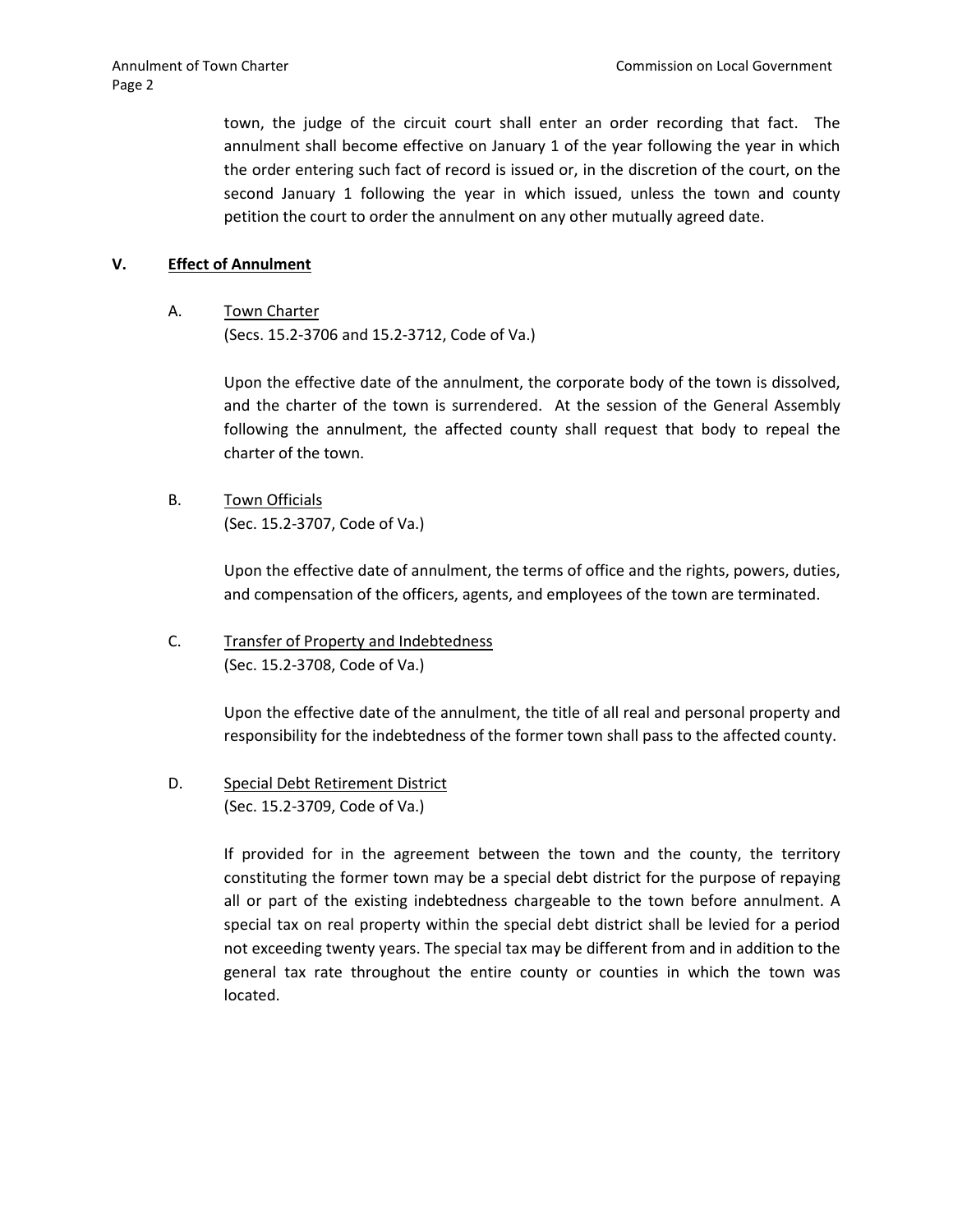town, the judge of the circuit court shall enter an order recording that fact. The annulment shall become effective on January 1 of the year following the year in which the order entering such fact of record is issued or, in the discretion of the court, on the second January 1 following the year in which issued, unless the town and county petition the court to order the annulment on any other mutually agreed date.

## **V. Effect of Annulment**

A. Town Charter

(Secs. 15.2-3706 and 15.2-3712, Code of Va.)

Upon the effective date of the annulment, the corporate body of the town is dissolved, and the charter of the town is surrendered. At the session of the General Assembly following the annulment, the affected county shall request that body to repeal the charter of the town.

B. Town Officials (Sec. 15.2-3707, Code of Va.)

> Upon the effective date of annulment, the terms of office and the rights, powers, duties, and compensation of the officers, agents, and employees of the town are terminated.

C. Transfer of Property and Indebtedness (Sec. 15.2-3708, Code of Va.)

> Upon the effective date of the annulment, the title of all real and personal property and responsibility for the indebtedness of the former town shall pass to the affected county.

D. Special Debt Retirement District (Sec. 15.2-3709, Code of Va.)

> If provided for in the agreement between the town and the county, the territory constituting the former town may be a special debt district for the purpose of repaying all or part of the existing indebtedness chargeable to the town before annulment. A special tax on real property within the special debt district shall be levied for a period not exceeding twenty years. The special tax may be different from and in addition to the general tax rate throughout the entire county or counties in which the town was located.